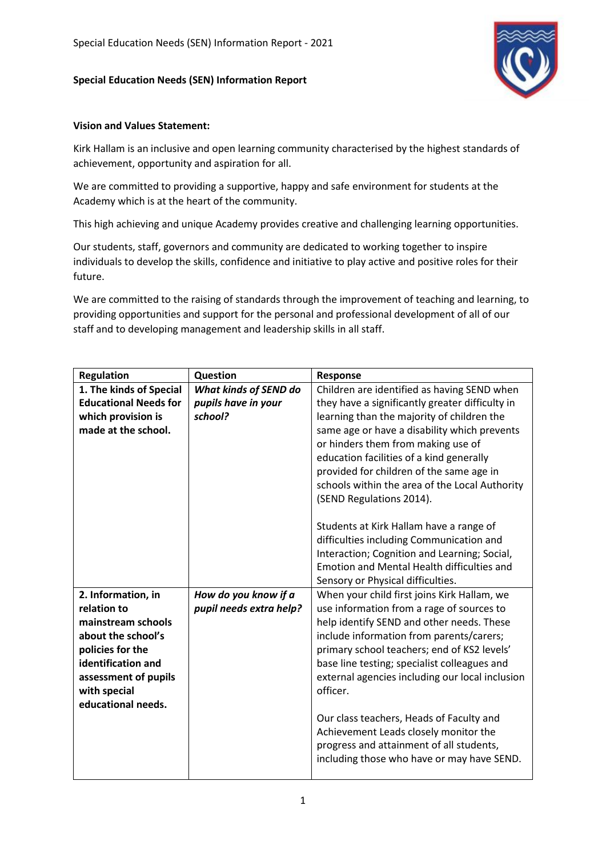## **Special Education Needs (SEN) Information Report**



## **Vision and Values Statement:**

Kirk Hallam is an inclusive and open learning community characterised by the highest standards of achievement, opportunity and aspiration for all.

We are committed to providing a supportive, happy and safe environment for students at the Academy which is at the heart of the community.

This high achieving and unique Academy provides creative and challenging learning opportunities.

Our students, staff, governors and community are dedicated to working together to inspire individuals to develop the skills, confidence and initiative to play active and positive roles for their future.

We are committed to the raising of standards through the improvement of teaching and learning, to providing opportunities and support for the personal and professional development of all of our staff and to developing management and leadership skills in all staff.

| <b>Regulation</b>                    | Question                     | <b>Response</b>                                                                                                                                                                                                                                                                                                                                                                                                                                      |
|--------------------------------------|------------------------------|------------------------------------------------------------------------------------------------------------------------------------------------------------------------------------------------------------------------------------------------------------------------------------------------------------------------------------------------------------------------------------------------------------------------------------------------------|
| 1. The kinds of Special              | <b>What kinds of SEND do</b> | Children are identified as having SEND when                                                                                                                                                                                                                                                                                                                                                                                                          |
| <b>Educational Needs for</b>         | pupils have in your          | they have a significantly greater difficulty in                                                                                                                                                                                                                                                                                                                                                                                                      |
| which provision is                   | school?                      | learning than the majority of children the                                                                                                                                                                                                                                                                                                                                                                                                           |
| made at the school.                  |                              | same age or have a disability which prevents<br>or hinders them from making use of<br>education facilities of a kind generally<br>provided for children of the same age in<br>schools within the area of the Local Authority<br>(SEND Regulations 2014).<br>Students at Kirk Hallam have a range of<br>difficulties including Communication and<br>Interaction; Cognition and Learning; Social,<br><b>Emotion and Mental Health difficulties and</b> |
| 2. Information, in                   | How do you know if a         | Sensory or Physical difficulties.<br>When your child first joins Kirk Hallam, we                                                                                                                                                                                                                                                                                                                                                                     |
| relation to                          | pupil needs extra help?      | use information from a rage of sources to                                                                                                                                                                                                                                                                                                                                                                                                            |
| mainstream schools                   |                              | help identify SEND and other needs. These                                                                                                                                                                                                                                                                                                                                                                                                            |
| about the school's                   |                              | include information from parents/carers;                                                                                                                                                                                                                                                                                                                                                                                                             |
| policies for the                     |                              | primary school teachers; end of KS2 levels'                                                                                                                                                                                                                                                                                                                                                                                                          |
| identification and                   |                              | base line testing; specialist colleagues and                                                                                                                                                                                                                                                                                                                                                                                                         |
| assessment of pupils<br>with special |                              | external agencies including our local inclusion<br>officer.                                                                                                                                                                                                                                                                                                                                                                                          |
| educational needs.                   |                              |                                                                                                                                                                                                                                                                                                                                                                                                                                                      |
|                                      |                              | Our class teachers, Heads of Faculty and<br>Achievement Leads closely monitor the<br>progress and attainment of all students,<br>including those who have or may have SEND.                                                                                                                                                                                                                                                                          |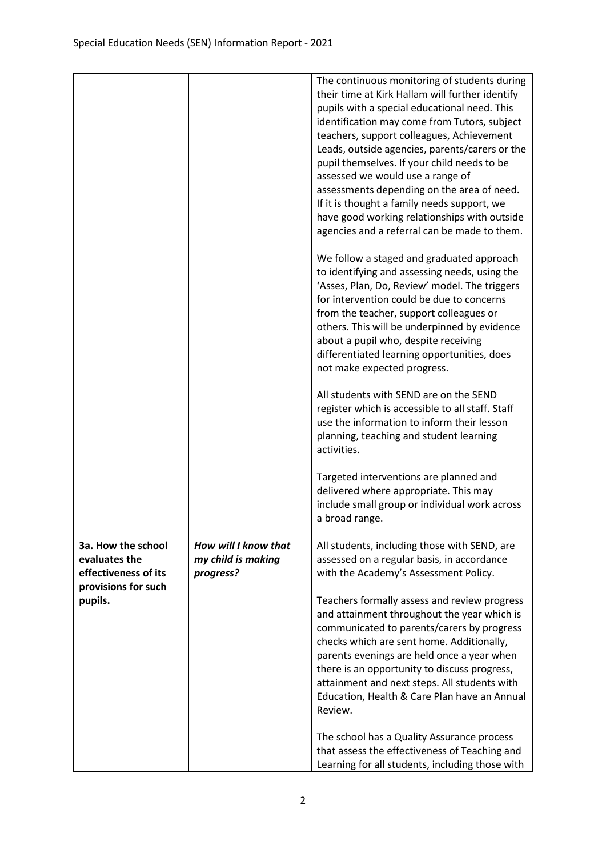|                                     |                                 | The continuous monitoring of students during<br>their time at Kirk Hallam will further identify |
|-------------------------------------|---------------------------------|-------------------------------------------------------------------------------------------------|
|                                     |                                 | pupils with a special educational need. This                                                    |
|                                     |                                 | identification may come from Tutors, subject<br>teachers, support colleagues, Achievement       |
|                                     |                                 | Leads, outside agencies, parents/carers or the                                                  |
|                                     |                                 | pupil themselves. If your child needs to be                                                     |
|                                     |                                 | assessed we would use a range of                                                                |
|                                     |                                 | assessments depending on the area of need.                                                      |
|                                     |                                 | If it is thought a family needs support, we<br>have good working relationships with outside     |
|                                     |                                 | agencies and a referral can be made to them.                                                    |
|                                     |                                 | We follow a staged and graduated approach                                                       |
|                                     |                                 | to identifying and assessing needs, using the<br>'Asses, Plan, Do, Review' model. The triggers  |
|                                     |                                 | for intervention could be due to concerns                                                       |
|                                     |                                 | from the teacher, support colleagues or                                                         |
|                                     |                                 | others. This will be underpinned by evidence                                                    |
|                                     |                                 | about a pupil who, despite receiving<br>differentiated learning opportunities, does             |
|                                     |                                 | not make expected progress.                                                                     |
|                                     |                                 | All students with SEND are on the SEND                                                          |
|                                     |                                 | register which is accessible to all staff. Staff                                                |
|                                     |                                 | use the information to inform their lesson                                                      |
|                                     |                                 | planning, teaching and student learning<br>activities.                                          |
|                                     |                                 | Targeted interventions are planned and                                                          |
|                                     |                                 | delivered where appropriate. This may                                                           |
|                                     |                                 | include small group or individual work across<br>a broad range.                                 |
|                                     |                                 |                                                                                                 |
| 3a. How the school<br>evaluates the | How will I know that            | All students, including those with SEND, are                                                    |
| effectiveness of its                | my child is making<br>progress? | assessed on a regular basis, in accordance<br>with the Academy's Assessment Policy.             |
| provisions for such                 |                                 |                                                                                                 |
| pupils.                             |                                 | Teachers formally assess and review progress                                                    |
|                                     |                                 | and attainment throughout the year which is<br>communicated to parents/carers by progress       |
|                                     |                                 | checks which are sent home. Additionally,                                                       |
|                                     |                                 | parents evenings are held once a year when                                                      |
|                                     |                                 | there is an opportunity to discuss progress,                                                    |
|                                     |                                 | attainment and next steps. All students with<br>Education, Health & Care Plan have an Annual    |
|                                     |                                 | Review.                                                                                         |
|                                     |                                 | The school has a Quality Assurance process                                                      |
|                                     |                                 | that assess the effectiveness of Teaching and                                                   |
|                                     |                                 | Learning for all students, including those with                                                 |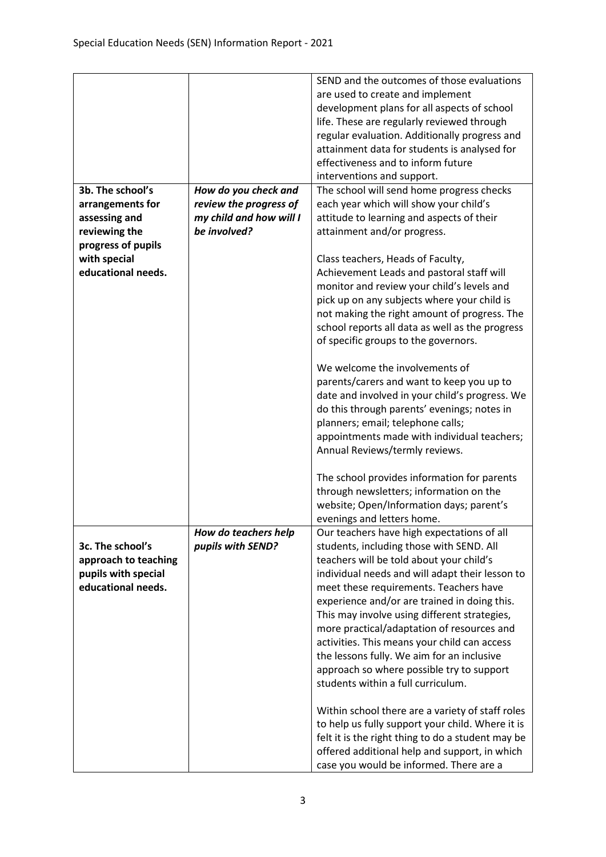|                      |                         | SEND and the outcomes of those evaluations        |
|----------------------|-------------------------|---------------------------------------------------|
|                      |                         | are used to create and implement                  |
|                      |                         | development plans for all aspects of school       |
|                      |                         | life. These are regularly reviewed through        |
|                      |                         | regular evaluation. Additionally progress and     |
|                      |                         | attainment data for students is analysed for      |
|                      |                         | effectiveness and to inform future                |
|                      |                         | interventions and support.                        |
| 3b. The school's     | How do you check and    | The school will send home progress checks         |
| arrangements for     | review the progress of  | each year which will show your child's            |
| assessing and        | my child and how will I | attitude to learning and aspects of their         |
| reviewing the        | be involved?            | attainment and/or progress.                       |
| progress of pupils   |                         |                                                   |
| with special         |                         | Class teachers, Heads of Faculty,                 |
| educational needs.   |                         | Achievement Leads and pastoral staff will         |
|                      |                         |                                                   |
|                      |                         | monitor and review your child's levels and        |
|                      |                         | pick up on any subjects where your child is       |
|                      |                         | not making the right amount of progress. The      |
|                      |                         | school reports all data as well as the progress   |
|                      |                         | of specific groups to the governors.              |
|                      |                         |                                                   |
|                      |                         | We welcome the involvements of                    |
|                      |                         | parents/carers and want to keep you up to         |
|                      |                         | date and involved in your child's progress. We    |
|                      |                         | do this through parents' evenings; notes in       |
|                      |                         | planners; email; telephone calls;                 |
|                      |                         | appointments made with individual teachers;       |
|                      |                         | Annual Reviews/termly reviews.                    |
|                      |                         | The school provides information for parents       |
|                      |                         | through newsletters; information on the           |
|                      |                         | website; Open/Information days; parent's          |
|                      |                         | evenings and letters home.                        |
|                      | How do teachers help    | Our teachers have high expectations of all        |
| 3c. The school's     | pupils with SEND?       | students, including those with SEND. All          |
| approach to teaching |                         | teachers will be told about your child's          |
| pupils with special  |                         | individual needs and will adapt their lesson to   |
| educational needs.   |                         | meet these requirements. Teachers have            |
|                      |                         | experience and/or are trained in doing this.      |
|                      |                         | This may involve using different strategies,      |
|                      |                         | more practical/adaptation of resources and        |
|                      |                         | activities. This means your child can access      |
|                      |                         |                                                   |
|                      |                         | the lessons fully. We aim for an inclusive        |
|                      |                         | approach so where possible try to support         |
|                      |                         | students within a full curriculum.                |
|                      |                         | Within school there are a variety of staff roles  |
|                      |                         | to help us fully support your child. Where it is  |
|                      |                         |                                                   |
|                      |                         | felt it is the right thing to do a student may be |
|                      |                         | offered additional help and support, in which     |
|                      |                         | case you would be informed. There are a           |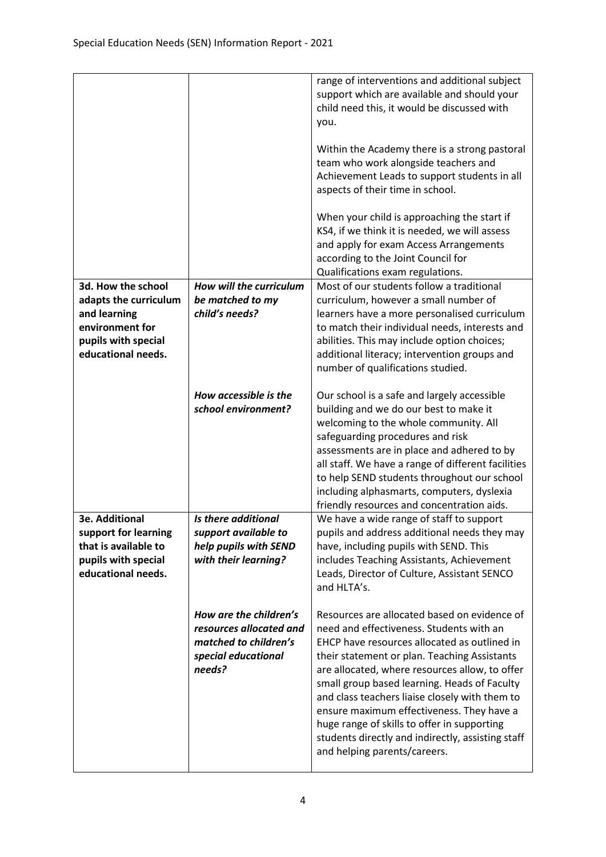|                                           |                         | range of interventions and additional subject<br>support which are available and should your<br>child need this, it would be discussed with<br>you.<br>Within the Academy there is a strong pastoral<br>team who work alongside teachers and<br>Achievement Leads to support students in all<br>aspects of their time in school.<br>When your child is approaching the start if<br>KS4, if we think it is needed, we will assess<br>and apply for exam Access Arrangements<br>according to the Joint Council for<br>Qualifications exam regulations. |
|-------------------------------------------|-------------------------|------------------------------------------------------------------------------------------------------------------------------------------------------------------------------------------------------------------------------------------------------------------------------------------------------------------------------------------------------------------------------------------------------------------------------------------------------------------------------------------------------------------------------------------------------|
| 3d. How the school                        | How will the curriculum | Most of our students follow a traditional                                                                                                                                                                                                                                                                                                                                                                                                                                                                                                            |
| adapts the curriculum                     | be matched to my        | curriculum, however a small number of                                                                                                                                                                                                                                                                                                                                                                                                                                                                                                                |
| and learning                              | child's needs?          | learners have a more personalised curriculum                                                                                                                                                                                                                                                                                                                                                                                                                                                                                                         |
| environment for                           |                         | to match their individual needs, interests and                                                                                                                                                                                                                                                                                                                                                                                                                                                                                                       |
| pupils with special<br>educational needs. |                         | abilities. This may include option choices;<br>additional literacy; intervention groups and                                                                                                                                                                                                                                                                                                                                                                                                                                                          |
|                                           |                         | number of qualifications studied.                                                                                                                                                                                                                                                                                                                                                                                                                                                                                                                    |
|                                           |                         |                                                                                                                                                                                                                                                                                                                                                                                                                                                                                                                                                      |
|                                           | How accessible is the   | Our school is a safe and largely accessible                                                                                                                                                                                                                                                                                                                                                                                                                                                                                                          |
|                                           | school environment?     | building and we do our best to make it                                                                                                                                                                                                                                                                                                                                                                                                                                                                                                               |
|                                           |                         | welcoming to the whole community. All<br>safeguarding procedures and risk                                                                                                                                                                                                                                                                                                                                                                                                                                                                            |
|                                           |                         | assessments are in place and adhered to by                                                                                                                                                                                                                                                                                                                                                                                                                                                                                                           |
|                                           |                         | all staff. We have a range of different facilities                                                                                                                                                                                                                                                                                                                                                                                                                                                                                                   |
|                                           |                         | to help SEND students throughout our school                                                                                                                                                                                                                                                                                                                                                                                                                                                                                                          |
|                                           |                         | including alphasmarts, computers, dyslexia                                                                                                                                                                                                                                                                                                                                                                                                                                                                                                           |
| <b>3e. Additional</b>                     | Is there additional     | friendly resources and concentration aids.                                                                                                                                                                                                                                                                                                                                                                                                                                                                                                           |
| support for learning                      | support available to    | We have a wide range of staff to support<br>pupils and address additional needs they may                                                                                                                                                                                                                                                                                                                                                                                                                                                             |
| that is available to                      | help pupils with SEND   | have, including pupils with SEND. This                                                                                                                                                                                                                                                                                                                                                                                                                                                                                                               |
| pupils with special                       | with their learning?    | includes Teaching Assistants, Achievement                                                                                                                                                                                                                                                                                                                                                                                                                                                                                                            |
| educational needs.                        |                         | Leads, Director of Culture, Assistant SENCO                                                                                                                                                                                                                                                                                                                                                                                                                                                                                                          |
|                                           |                         | and HLTA's.                                                                                                                                                                                                                                                                                                                                                                                                                                                                                                                                          |
|                                           | How are the children's  | Resources are allocated based on evidence of                                                                                                                                                                                                                                                                                                                                                                                                                                                                                                         |
|                                           | resources allocated and | need and effectiveness. Students with an                                                                                                                                                                                                                                                                                                                                                                                                                                                                                                             |
|                                           | matched to children's   | EHCP have resources allocated as outlined in                                                                                                                                                                                                                                                                                                                                                                                                                                                                                                         |
|                                           | special educational     | their statement or plan. Teaching Assistants                                                                                                                                                                                                                                                                                                                                                                                                                                                                                                         |
|                                           | needs?                  | are allocated, where resources allow, to offer<br>small group based learning. Heads of Faculty                                                                                                                                                                                                                                                                                                                                                                                                                                                       |
|                                           |                         | and class teachers liaise closely with them to                                                                                                                                                                                                                                                                                                                                                                                                                                                                                                       |
|                                           |                         | ensure maximum effectiveness. They have a                                                                                                                                                                                                                                                                                                                                                                                                                                                                                                            |
|                                           |                         | huge range of skills to offer in supporting                                                                                                                                                                                                                                                                                                                                                                                                                                                                                                          |
|                                           |                         | students directly and indirectly, assisting staff                                                                                                                                                                                                                                                                                                                                                                                                                                                                                                    |
|                                           |                         | and helping parents/careers.                                                                                                                                                                                                                                                                                                                                                                                                                                                                                                                         |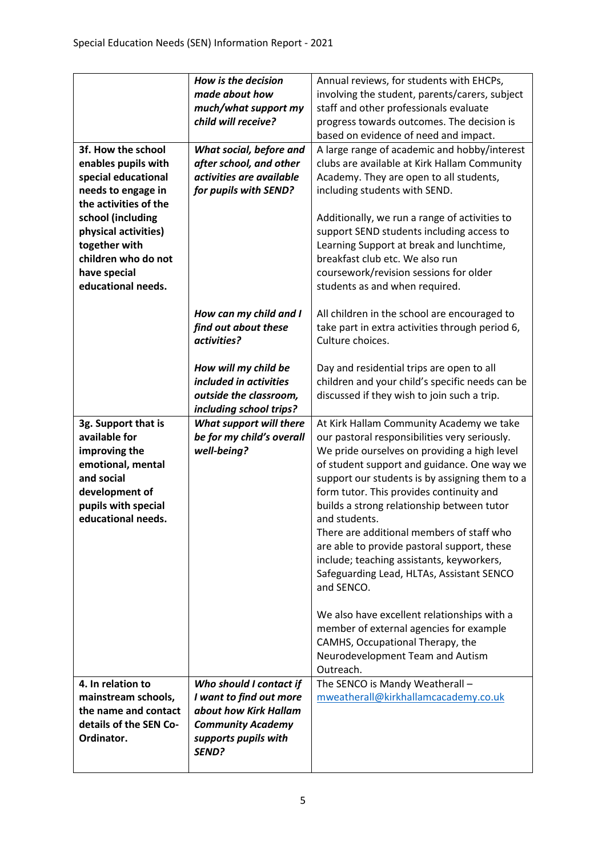|                                 | How is the decision                            | Annual reviews, for students with EHCPs,                                                      |
|---------------------------------|------------------------------------------------|-----------------------------------------------------------------------------------------------|
|                                 | made about how                                 | involving the student, parents/carers, subject                                                |
|                                 | much/what support my                           | staff and other professionals evaluate                                                        |
|                                 | child will receive?                            | progress towards outcomes. The decision is                                                    |
|                                 |                                                | based on evidence of need and impact.                                                         |
| 3f. How the school              | What social, before and                        | A large range of academic and hobby/interest                                                  |
| enables pupils with             | after school, and other                        | clubs are available at Kirk Hallam Community                                                  |
| special educational             | activities are available                       | Academy. They are open to all students,                                                       |
| needs to engage in              | for pupils with SEND?                          | including students with SEND.                                                                 |
| the activities of the           |                                                |                                                                                               |
| school (including               |                                                | Additionally, we run a range of activities to                                                 |
| physical activities)            |                                                | support SEND students including access to                                                     |
| together with                   |                                                | Learning Support at break and lunchtime,                                                      |
| children who do not             |                                                | breakfast club etc. We also run                                                               |
| have special                    |                                                | coursework/revision sessions for older                                                        |
| educational needs.              |                                                | students as and when required.                                                                |
|                                 |                                                |                                                                                               |
|                                 | How can my child and I                         | All children in the school are encouraged to                                                  |
|                                 | find out about these                           | take part in extra activities through period 6,                                               |
|                                 | activities?                                    | Culture choices.                                                                              |
|                                 |                                                |                                                                                               |
|                                 | How will my child be<br>included in activities | Day and residential trips are open to all<br>children and your child's specific needs can be  |
|                                 | outside the classroom,                         | discussed if they wish to join such a trip.                                                   |
|                                 | including school trips?                        |                                                                                               |
|                                 |                                                |                                                                                               |
|                                 |                                                |                                                                                               |
| 3g. Support that is             | What support will there                        | At Kirk Hallam Community Academy we take                                                      |
| available for                   | be for my child's overall                      | our pastoral responsibilities very seriously.                                                 |
| improving the                   | well-being?                                    | We pride ourselves on providing a high level                                                  |
| emotional, mental<br>and social |                                                | of student support and guidance. One way we<br>support our students is by assigning them to a |
| development of                  |                                                | form tutor. This provides continuity and                                                      |
| pupils with special             |                                                | builds a strong relationship between tutor                                                    |
| educational needs.              |                                                | and students.                                                                                 |
|                                 |                                                | There are additional members of staff who                                                     |
|                                 |                                                | are able to provide pastoral support, these                                                   |
|                                 |                                                | include; teaching assistants, keyworkers,                                                     |
|                                 |                                                | Safeguarding Lead, HLTAs, Assistant SENCO                                                     |
|                                 |                                                | and SENCO.                                                                                    |
|                                 |                                                |                                                                                               |
|                                 |                                                | We also have excellent relationships with a                                                   |
|                                 |                                                | member of external agencies for example                                                       |
|                                 |                                                | CAMHS, Occupational Therapy, the                                                              |
|                                 |                                                | Neurodevelopment Team and Autism                                                              |
|                                 |                                                | Outreach.                                                                                     |
| 4. In relation to               | Who should I contact if                        | The SENCO is Mandy Weatherall -                                                               |
| mainstream schools,             | I want to find out more                        | mweatherall@kirkhallamcacademy.co.uk                                                          |
| the name and contact            | about how Kirk Hallam                          |                                                                                               |
| details of the SEN Co-          | <b>Community Academy</b>                       |                                                                                               |
| Ordinator.                      | supports pupils with<br>SEND?                  |                                                                                               |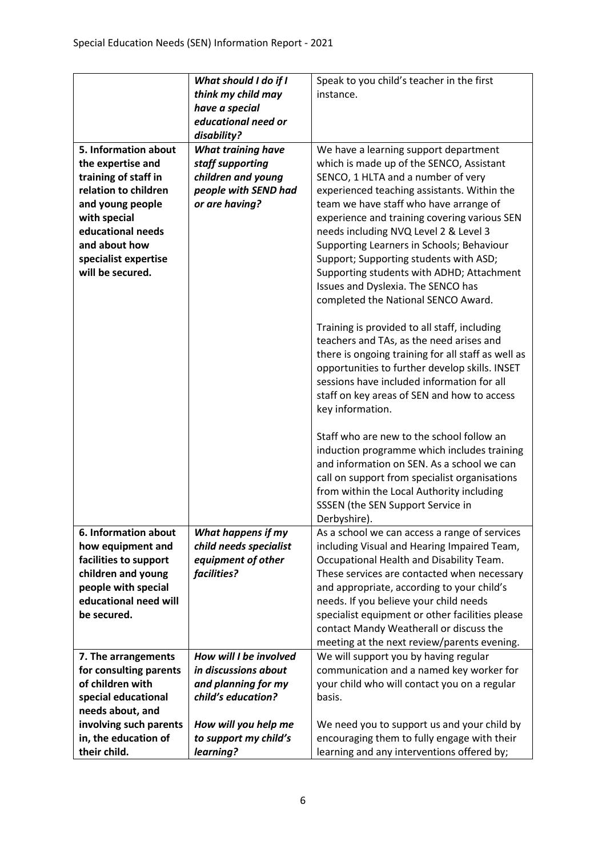|                                              | What should I do if I     | Speak to you child's teacher in the first                                                 |
|----------------------------------------------|---------------------------|-------------------------------------------------------------------------------------------|
|                                              | think my child may        | instance.                                                                                 |
|                                              | have a special            |                                                                                           |
|                                              | educational need or       |                                                                                           |
|                                              | disability?               |                                                                                           |
| 5. Information about                         | <b>What training have</b> | We have a learning support department                                                     |
| the expertise and                            | staff supporting          | which is made up of the SENCO, Assistant                                                  |
| training of staff in                         | children and young        | SENCO, 1 HLTA and a number of very                                                        |
| relation to children                         | people with SEND had      | experienced teaching assistants. Within the                                               |
| and young people                             | or are having?            | team we have staff who have arrange of                                                    |
| with special<br>educational needs            |                           | experience and training covering various SEN                                              |
| and about how                                |                           | needs including NVQ Level 2 & Level 3                                                     |
|                                              |                           | Supporting Learners in Schools; Behaviour                                                 |
| specialist expertise<br>will be secured.     |                           | Support; Supporting students with ASD;<br>Supporting students with ADHD; Attachment       |
|                                              |                           | Issues and Dyslexia. The SENCO has                                                        |
|                                              |                           | completed the National SENCO Award.                                                       |
|                                              |                           |                                                                                           |
|                                              |                           | Training is provided to all staff, including                                              |
|                                              |                           | teachers and TAs, as the need arises and                                                  |
|                                              |                           | there is ongoing training for all staff as well as                                        |
|                                              |                           | opportunities to further develop skills. INSET                                            |
|                                              |                           | sessions have included information for all                                                |
|                                              |                           | staff on key areas of SEN and how to access                                               |
|                                              |                           | key information.                                                                          |
|                                              |                           |                                                                                           |
|                                              |                           | Staff who are new to the school follow an                                                 |
|                                              |                           | induction programme which includes training                                               |
|                                              |                           | and information on SEN. As a school we can                                                |
|                                              |                           | call on support from specialist organisations                                             |
|                                              |                           | from within the Local Authority including                                                 |
|                                              |                           | SSSEN (the SEN Support Service in                                                         |
|                                              |                           | Derbyshire).                                                                              |
| 6. Information about                         | What happens if my        | As a school we can access a range of services                                             |
| how equipment and                            | child needs specialist    | including Visual and Hearing Impaired Team,                                               |
| facilities to support                        | equipment of other        | Occupational Health and Disability Team.                                                  |
| children and young                           | facilities?               | These services are contacted when necessary<br>and appropriate, according to your child's |
| people with special<br>educational need will |                           |                                                                                           |
| be secured.                                  |                           | needs. If you believe your child needs<br>specialist equipment or other facilities please |
|                                              |                           | contact Mandy Weatherall or discuss the                                                   |
|                                              |                           | meeting at the next review/parents evening.                                               |
| 7. The arrangements                          | How will I be involved    | We will support you by having regular                                                     |
| for consulting parents                       | in discussions about      | communication and a named key worker for                                                  |
| of children with                             | and planning for my       | your child who will contact you on a regular                                              |
| special educational                          | child's education?        | basis.                                                                                    |
| needs about, and                             |                           |                                                                                           |
| involving such parents                       | How will you help me      | We need you to support us and your child by                                               |
| in, the education of                         | to support my child's     | encouraging them to fully engage with their                                               |
| their child.                                 | learning?                 | learning and any interventions offered by;                                                |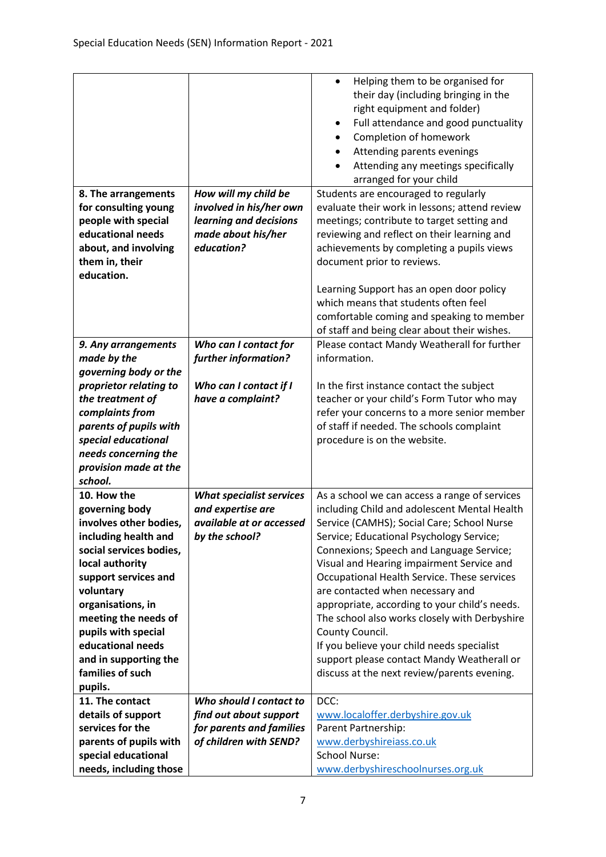|                         |                                 | Helping them to be organised for<br>$\bullet$ |
|-------------------------|---------------------------------|-----------------------------------------------|
|                         |                                 | their day (including bringing in the          |
|                         |                                 | right equipment and folder)                   |
|                         |                                 | Full attendance and good punctuality<br>٠     |
|                         |                                 | Completion of homework<br>$\bullet$           |
|                         |                                 | Attending parents evenings<br>$\bullet$       |
|                         |                                 | Attending any meetings specifically           |
|                         |                                 | arranged for your child                       |
| 8. The arrangements     | How will my child be            | Students are encouraged to regularly          |
| for consulting young    | involved in his/her own         | evaluate their work in lessons; attend review |
| people with special     | learning and decisions          | meetings; contribute to target setting and    |
| educational needs       | made about his/her              | reviewing and reflect on their learning and   |
| about, and involving    | education?                      | achievements by completing a pupils views     |
| them in, their          |                                 | document prior to reviews.                    |
| education.              |                                 |                                               |
|                         |                                 | Learning Support has an open door policy      |
|                         |                                 | which means that students often feel          |
|                         |                                 | comfortable coming and speaking to member     |
|                         |                                 | of staff and being clear about their wishes.  |
| 9. Any arrangements     | Who can I contact for           | Please contact Mandy Weatherall for further   |
| made by the             | further information?            | information.                                  |
| governing body or the   |                                 |                                               |
| proprietor relating to  | Who can I contact if I          | In the first instance contact the subject     |
| the treatment of        | have a complaint?               | teacher or your child's Form Tutor who may    |
| complaints from         |                                 | refer your concerns to a more senior member   |
| parents of pupils with  |                                 | of staff if needed. The schools complaint     |
| special educational     |                                 | procedure is on the website.                  |
| needs concerning the    |                                 |                                               |
| provision made at the   |                                 |                                               |
| school.                 |                                 |                                               |
| 10. How the             | <b>What specialist services</b> | As a school we can access a range of services |
| governing body          | and expertise are               | including Child and adolescent Mental Health  |
| involves other bodies,  | available at or accessed        | Service (CAMHS); Social Care; School Nurse    |
| including health and    | by the school?                  | Service; Educational Psychology Service;      |
| social services bodies, |                                 | Connexions; Speech and Language Service;      |
| local authority         |                                 | Visual and Hearing impairment Service and     |
| support services and    |                                 | Occupational Health Service. These services   |
| voluntary               |                                 | are contacted when necessary and              |
| organisations, in       |                                 | appropriate, according to your child's needs. |
| meeting the needs of    |                                 | The school also works closely with Derbyshire |
| pupils with special     |                                 | County Council.                               |
| educational needs       |                                 | If you believe your child needs specialist    |
| and in supporting the   |                                 | support please contact Mandy Weatherall or    |
| families of such        |                                 | discuss at the next review/parents evening.   |
| pupils.                 |                                 |                                               |
| 11. The contact         | Who should I contact to         | DCC:                                          |
| details of support      | find out about support          | www.localoffer.derbyshire.gov.uk              |
| services for the        | for parents and families        | Parent Partnership:                           |
| parents of pupils with  | of children with SEND?          | www.derbyshireiass.co.uk                      |
| special educational     |                                 | <b>School Nurse:</b>                          |
|                         |                                 |                                               |